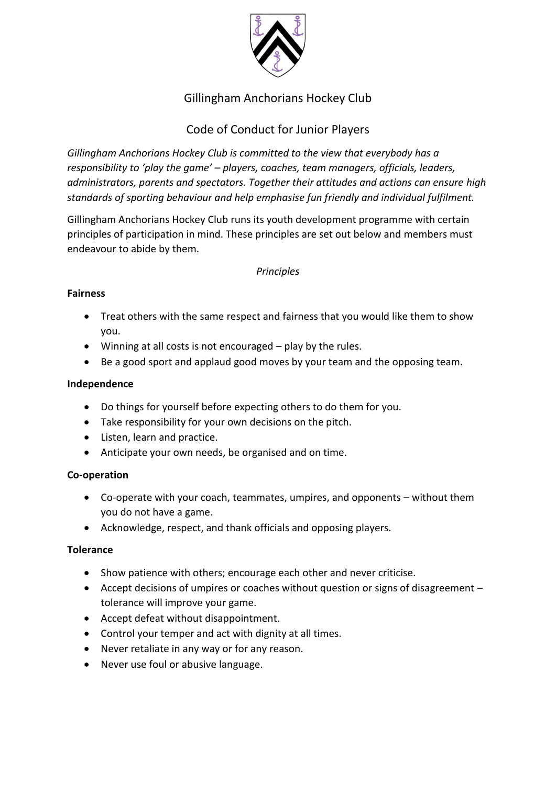

# Gillingham Anchorians Hockey Club

# Code of Conduct for Junior Players

*Gillingham Anchorians Hockey Club is committed to the view that everybody has a responsibility to 'play the game' – players, coaches, team managers, officials, leaders, administrators, parents and spectators. Together their attitudes and actions can ensure high standards of sporting behaviour and help emphasise fun friendly and individual fulfilment.*

Gillingham Anchorians Hockey Club runs its youth development programme with certain principles of participation in mind. These principles are set out below and members must endeavour to abide by them.

### *Principles*

#### **Fairness**

- Treat others with the same respect and fairness that you would like them to show you.
- Winning at all costs is not encouraged play by the rules.
- Be a good sport and applaud good moves by your team and the opposing team.

#### **Independence**

- Do things for yourself before expecting others to do them for you.
- Take responsibility for your own decisions on the pitch.
- Listen, learn and practice.
- Anticipate your own needs, be organised and on time.

#### **Co-operation**

- Co-operate with your coach, teammates, umpires, and opponents without them you do not have a game.
- Acknowledge, respect, and thank officials and opposing players.

#### **Tolerance**

- Show patience with others; encourage each other and never criticise.
- Accept decisions of umpires or coaches without question or signs of disagreement tolerance will improve your game.
- Accept defeat without disappointment.
- Control your temper and act with dignity at all times.
- Never retaliate in any way or for any reason.
- Never use foul or abusive language.